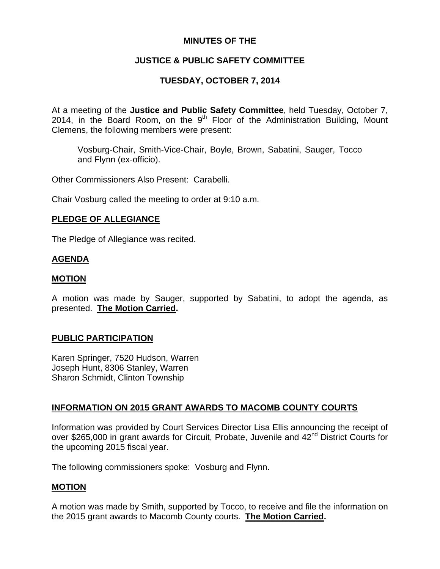## **MINUTES OF THE**

# **JUSTICE & PUBLIC SAFETY COMMITTEE**

# **TUESDAY, OCTOBER 7, 2014**

At a meeting of the **Justice and Public Safety Committee**, held Tuesday, October 7, 2014, in the Board Room, on the  $9<sup>th</sup>$  Floor of the Administration Building, Mount Clemens, the following members were present:

Vosburg-Chair, Smith-Vice-Chair, Boyle, Brown, Sabatini, Sauger, Tocco and Flynn (ex-officio).

Other Commissioners Also Present: Carabelli.

Chair Vosburg called the meeting to order at 9:10 a.m.

## **PLEDGE OF ALLEGIANCE**

The Pledge of Allegiance was recited.

## **AGENDA**

### **MOTION**

A motion was made by Sauger, supported by Sabatini, to adopt the agenda, as presented. **The Motion Carried.** 

### **PUBLIC PARTICIPATION**

Karen Springer, 7520 Hudson, Warren Joseph Hunt, 8306 Stanley, Warren Sharon Schmidt, Clinton Township

## **INFORMATION ON 2015 GRANT AWARDS TO MACOMB COUNTY COURTS**

Information was provided by Court Services Director Lisa Ellis announcing the receipt of over \$265,000 in grant awards for Circuit, Probate, Juvenile and 42<sup>nd</sup> District Courts for the upcoming 2015 fiscal year.

The following commissioners spoke: Vosburg and Flynn.

### **MOTION**

A motion was made by Smith, supported by Tocco, to receive and file the information on the 2015 grant awards to Macomb County courts. **The Motion Carried.**